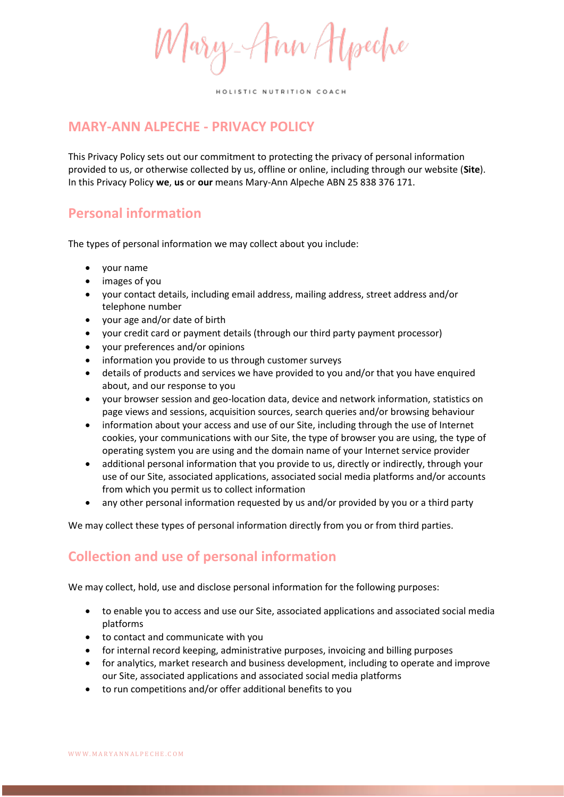Mary-Ann Atpeche

# **MARY-ANN ALPECHE - PRIVACY POLICY**

This Privacy Policy sets out our commitment to protecting the privacy of personal information provided to us, or otherwise collected by us, offline or online, including through our website (**Site**). In this Privacy Policy **we**, **us** or **our** means Mary-Ann Alpeche ABN 25 838 376 171.

### **Personal information**

The types of personal information we may collect about you include:

- your name
- images of you
- your contact details, including email address, mailing address, street address and/or telephone number
- your age and/or date of birth
- your credit card or payment details (through our third party payment processor)
- your preferences and/or opinions
- information you provide to us through customer surveys
- details of products and services we have provided to you and/or that you have enquired about, and our response to you
- your browser session and geo-location data, device and network information, statistics on page views and sessions, acquisition sources, search queries and/or browsing behaviour
- information about your access and use of our Site, including through the use of Internet cookies, your communications with our Site, the type of browser you are using, the type of operating system you are using and the domain name of your Internet service provider
- additional personal information that you provide to us, directly or indirectly, through your use of our Site, associated applications, associated social media platforms and/or accounts from which you permit us to collect information
- any other personal information requested by us and/or provided by you or a third party

We may collect these types of personal information directly from you or from third parties.

## **Collection and use of personal information**

We may collect, hold, use and disclose personal information for the following purposes:

- to enable you to access and use our Site, associated applications and associated social media platforms
- to contact and communicate with you
- for internal record keeping, administrative purposes, invoicing and billing purposes
- for analytics, market research and business development, including to operate and improve our Site, associated applications and associated social media platforms
- to run competitions and/or offer additional benefits to you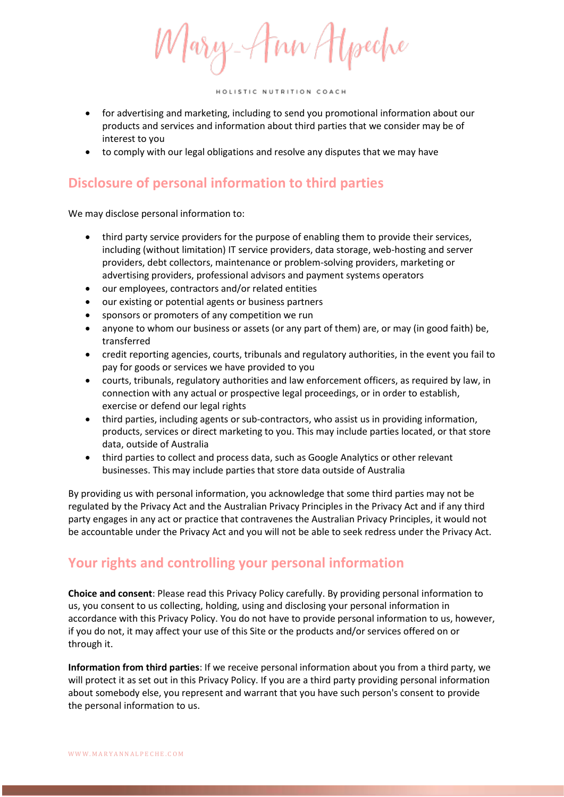Mary-Ann Hyseche

- for advertising and marketing, including to send you promotional information about our products and services and information about third parties that we consider may be of interest to you
- to comply with our legal obligations and resolve any disputes that we may have

# **Disclosure of personal information to third parties**

We may disclose personal information to:

- third party service providers for the purpose of enabling them to provide their services, including (without limitation) IT service providers, data storage, web-hosting and server providers, debt collectors, maintenance or problem-solving providers, marketing or advertising providers, professional advisors and payment systems operators
- our employees, contractors and/or related entities
- our existing or potential agents or business partners
- sponsors or promoters of any competition we run
- anyone to whom our business or assets (or any part of them) are, or may (in good faith) be, transferred
- credit reporting agencies, courts, tribunals and regulatory authorities, in the event you fail to pay for goods or services we have provided to you
- courts, tribunals, regulatory authorities and law enforcement officers, as required by law, in connection with any actual or prospective legal proceedings, or in order to establish, exercise or defend our legal rights
- third parties, including agents or sub-contractors, who assist us in providing information, products, services or direct marketing to you. This may include parties located, or that store data, outside of Australia
- third parties to collect and process data, such as Google Analytics or other relevant businesses. This may include parties that store data outside of Australia

By providing us with personal information, you acknowledge that some third parties may not be regulated by the Privacy Act and the Australian Privacy Principles in the Privacy Act and if any third party engages in any act or practice that contravenes the Australian Privacy Principles, it would not be accountable under the Privacy Act and you will not be able to seek redress under the Privacy Act.

## **Your rights and controlling your personal information**

**Choice and consent**: Please read this Privacy Policy carefully. By providing personal information to us, you consent to us collecting, holding, using and disclosing your personal information in accordance with this Privacy Policy. You do not have to provide personal information to us, however, if you do not, it may affect your use of this Site or the products and/or services offered on or through it.

**Information from third parties**: If we receive personal information about you from a third party, we will protect it as set out in this Privacy Policy. If you are a third party providing personal information about somebody else, you represent and warrant that you have such person's consent to provide the personal information to us.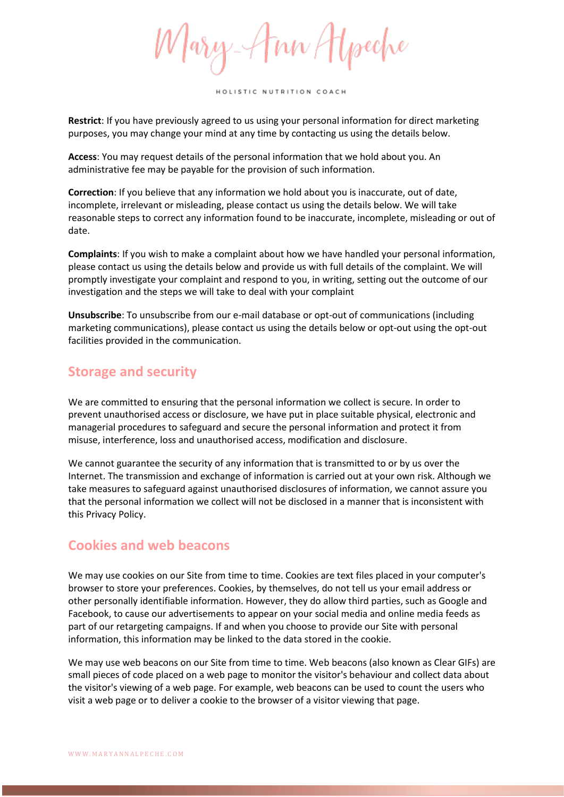Mary-Ann Hyseche

**Restrict**: If you have previously agreed to us using your personal information for direct marketing purposes, you may change your mind at any time by contacting us using the details below.

**Access**: You may request details of the personal information that we hold about you. An administrative fee may be payable for the provision of such information.

**Correction**: If you believe that any information we hold about you is inaccurate, out of date, incomplete, irrelevant or misleading, please contact us using the details below. We will take reasonable steps to correct any information found to be inaccurate, incomplete, misleading or out of date.

**Complaints**: If you wish to make a complaint about how we have handled your personal information, please contact us using the details below and provide us with full details of the complaint. We will promptly investigate your complaint and respond to you, in writing, setting out the outcome of our investigation and the steps we will take to deal with your complaint

**Unsubscribe**: To unsubscribe from our e-mail database or opt-out of communications (including marketing communications), please contact us using the details below or opt-out using the opt-out facilities provided in the communication.

#### **Storage and security**

We are committed to ensuring that the personal information we collect is secure. In order to prevent unauthorised access or disclosure, we have put in place suitable physical, electronic and managerial procedures to safeguard and secure the personal information and protect it from misuse, interference, loss and unauthorised access, modification and disclosure.

We cannot guarantee the security of any information that is transmitted to or by us over the Internet. The transmission and exchange of information is carried out at your own risk. Although we take measures to safeguard against unauthorised disclosures of information, we cannot assure you that the personal information we collect will not be disclosed in a manner that is inconsistent with this Privacy Policy.

### **Cookies and web beacons**

We may use cookies on our Site from time to time. Cookies are text files placed in your computer's browser to store your preferences. Cookies, by themselves, do not tell us your email address or other personally identifiable information. However, they do allow third parties, such as Google and Facebook, to cause our advertisements to appear on your social media and online media feeds as part of our retargeting campaigns. If and when you choose to provide our Site with personal information, this information may be linked to the data stored in the cookie.

We may use web beacons on our Site from time to time. Web beacons (also known as Clear GIFs) are small pieces of code placed on a web page to monitor the visitor's behaviour and collect data about the visitor's viewing of a web page. For example, web beacons can be used to count the users who visit a web page or to deliver a cookie to the browser of a visitor viewing that page.